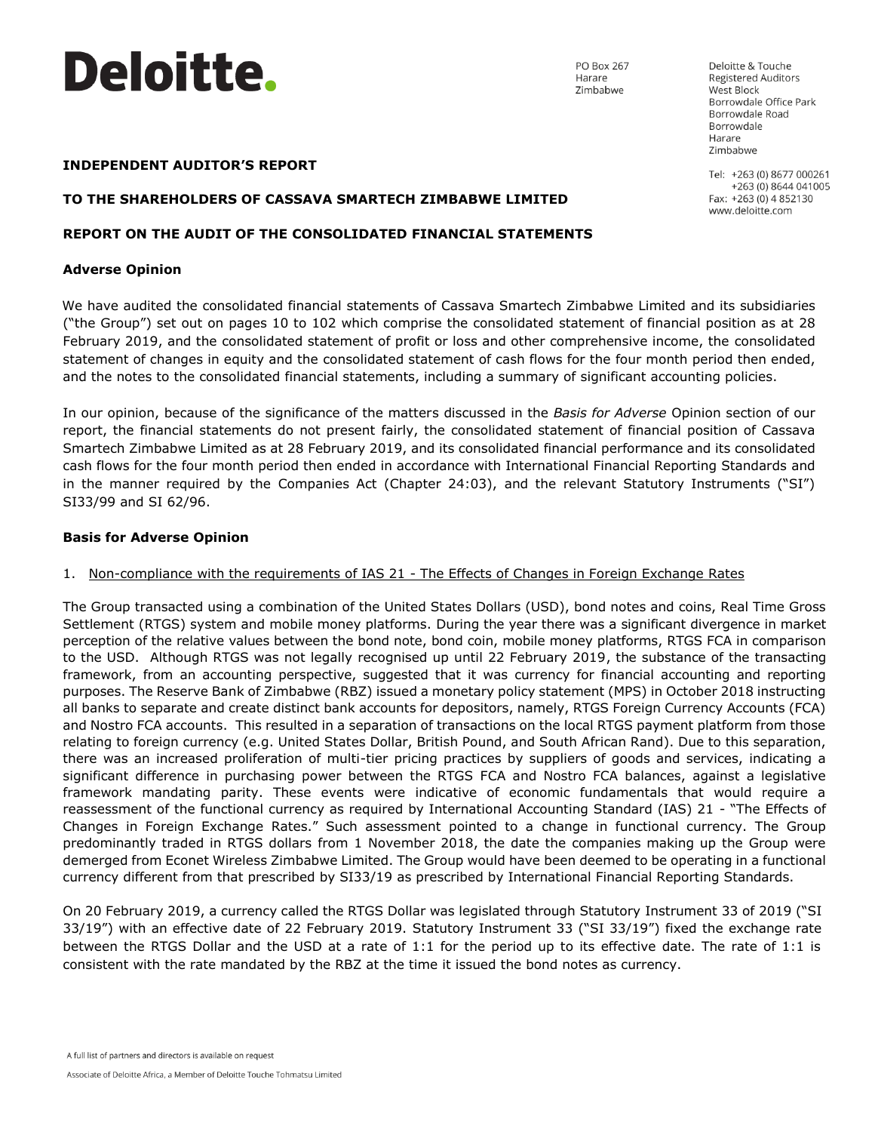

PO Box 267 Harare Zimbabwe

Deloitte & Touche Registered Auditors West Block Borrowdale Office Park Borrowdale Road Borrowdale Harare Zimbabwe

Tel: +263 (0) 8677 000261 +263 (0) 8644 041005 Fax: +263 (0) 4 852130 www.deloitte.com

### **INDEPENDENT AUDITOR'S REPORT**

#### **TO THE SHAREHOLDERS OF CASSAVA SMARTECH ZIMBABWE LIMITED**

### **REPORT ON THE AUDIT OF THE CONSOLIDATED FINANCIAL STATEMENTS**

#### **Adverse Opinion**

We have audited the consolidated financial statements of Cassava Smartech Zimbabwe Limited and its subsidiaries ("the Group") set out on pages 10 to 102 which comprise the consolidated statement of financial position as at 28 February 2019, and the consolidated statement of profit or loss and other comprehensive income, the consolidated statement of changes in equity and the consolidated statement of cash flows for the four month period then ended, and the notes to the consolidated financial statements, including a summary of significant accounting policies.

In our opinion, because of the significance of the matters discussed in the *Basis for Adverse* Opinion section of our report, the financial statements do not present fairly, the consolidated statement of financial position of Cassava Smartech Zimbabwe Limited as at 28 February 2019, and its consolidated financial performance and its consolidated cash flows for the four month period then ended in accordance with International Financial Reporting Standards and in the manner required by the Companies Act (Chapter 24:03), and the relevant Statutory Instruments ("SI") SI33/99 and SI 62/96.

### **Basis for Adverse Opinion**

### 1. Non-compliance with the requirements of IAS 21 - The Effects of Changes in Foreign Exchange Rates

The Group transacted using a combination of the United States Dollars (USD), bond notes and coins, Real Time Gross Settlement (RTGS) system and mobile money platforms. During the year there was a significant divergence in market perception of the relative values between the bond note, bond coin, mobile money platforms, RTGS FCA in comparison to the USD. Although RTGS was not legally recognised up until 22 February 2019, the substance of the transacting framework, from an accounting perspective, suggested that it was currency for financial accounting and reporting purposes. The Reserve Bank of Zimbabwe (RBZ) issued a monetary policy statement (MPS) in October 2018 instructing all banks to separate and create distinct bank accounts for depositors, namely, RTGS Foreign Currency Accounts (FCA) and Nostro FCA accounts. This resulted in a separation of transactions on the local RTGS payment platform from those relating to foreign currency (e.g. United States Dollar, British Pound, and South African Rand). Due to this separation, there was an increased proliferation of multi-tier pricing practices by suppliers of goods and services, indicating a significant difference in purchasing power between the RTGS FCA and Nostro FCA balances, against a legislative framework mandating parity. These events were indicative of economic fundamentals that would require a reassessment of the functional currency as required by International Accounting Standard (IAS) 21 - "The Effects of Changes in Foreign Exchange Rates." Such assessment pointed to a change in functional currency. The Group predominantly traded in RTGS dollars from 1 November 2018, the date the companies making up the Group were demerged from Econet Wireless Zimbabwe Limited. The Group would have been deemed to be operating in a functional currency different from that prescribed by SI33/19 as prescribed by International Financial Reporting Standards.

On 20 February 2019, a currency called the RTGS Dollar was legislated through Statutory Instrument 33 of 2019 ("SI 33/19") with an effective date of 22 February 2019. Statutory Instrument 33 ("SI 33/19") fixed the exchange rate between the RTGS Dollar and the USD at a rate of 1:1 for the period up to its effective date. The rate of 1:1 is consistent with the rate mandated by the RBZ at the time it issued the bond notes as currency.

A full list of partners and directors is available on request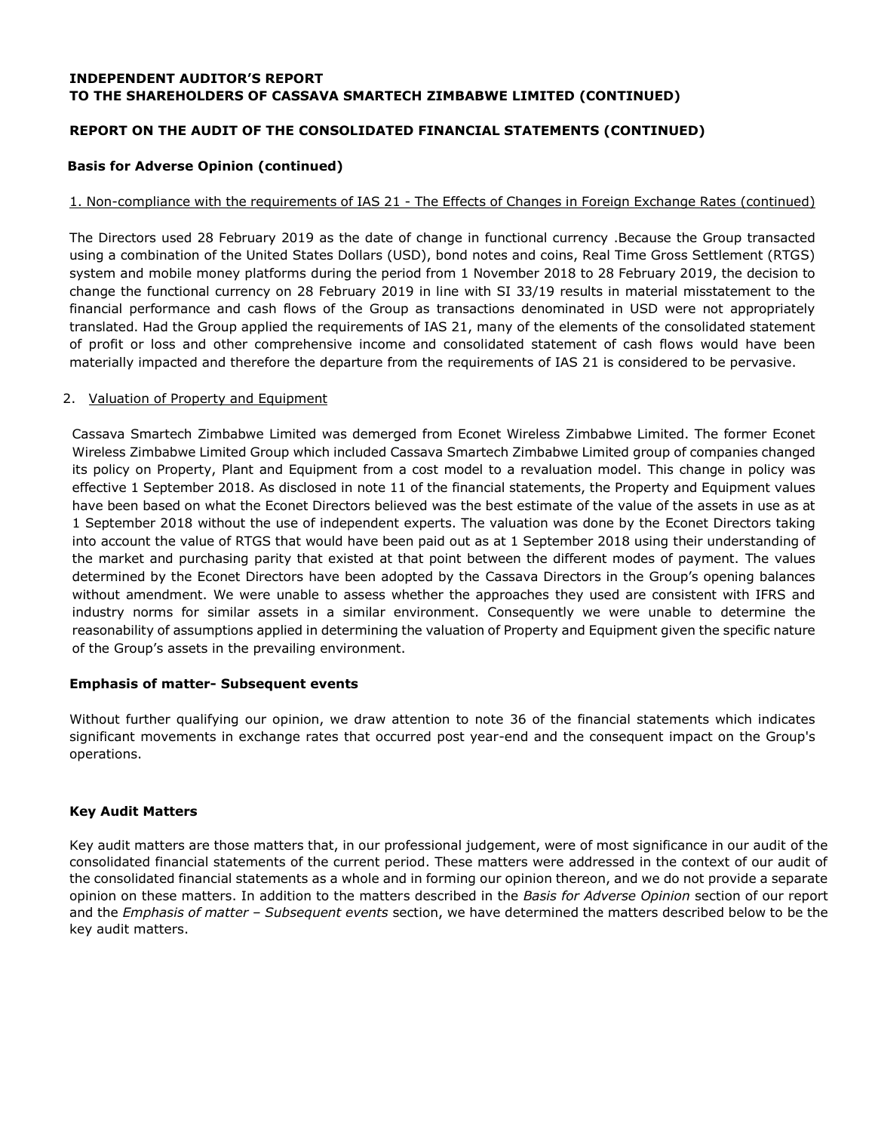# **REPORT ON THE AUDIT OF THE CONSOLIDATED FINANCIAL STATEMENTS (CONTINUED)**

### **Basis for Adverse Opinion (continued)**

### 1. Non-compliance with the requirements of IAS 21 - The Effects of Changes in Foreign Exchange Rates (continued)

The Directors used 28 February 2019 as the date of change in functional currency .Because the Group transacted using a combination of the United States Dollars (USD), bond notes and coins, Real Time Gross Settlement (RTGS) system and mobile money platforms during the period from 1 November 2018 to 28 February 2019, the decision to change the functional currency on 28 February 2019 in line with SI 33/19 results in material misstatement to the financial performance and cash flows of the Group as transactions denominated in USD were not appropriately translated. Had the Group applied the requirements of IAS 21, many of the elements of the consolidated statement of profit or loss and other comprehensive income and consolidated statement of cash flows would have been materially impacted and therefore the departure from the requirements of IAS 21 is considered to be pervasive.

### 2. Valuation of Property and Equipment

Cassava Smartech Zimbabwe Limited was demerged from Econet Wireless Zimbabwe Limited. The former Econet Wireless Zimbabwe Limited Group which included Cassava Smartech Zimbabwe Limited group of companies changed its policy on Property, Plant and Equipment from a cost model to a revaluation model. This change in policy was effective 1 September 2018. As disclosed in note 11 of the financial statements, the Property and Equipment values have been based on what the Econet Directors believed was the best estimate of the value of the assets in use as at 1 September 2018 without the use of independent experts. The valuation was done by the Econet Directors taking into account the value of RTGS that would have been paid out as at 1 September 2018 using their understanding of the market and purchasing parity that existed at that point between the different modes of payment. The values determined by the Econet Directors have been adopted by the Cassava Directors in the Group's opening balances without amendment. We were unable to assess whether the approaches they used are consistent with IFRS and industry norms for similar assets in a similar environment. Consequently we were unable to determine the reasonability of assumptions applied in determining the valuation of Property and Equipment given the specific nature of the Group's assets in the prevailing environment.

### **Emphasis of matter- Subsequent events**

Without further qualifying our opinion, we draw attention to note 36 of the financial statements which indicates significant movements in exchange rates that occurred post year-end and the consequent impact on the Group's operations.

### **Key Audit Matters**

Key audit matters are those matters that, in our professional judgement, were of most significance in our audit of the consolidated financial statements of the current period. These matters were addressed in the context of our audit of the consolidated financial statements as a whole and in forming our opinion thereon, and we do not provide a separate opinion on these matters. In addition to the matters described in the *Basis for Adverse Opinion* section of our report and the *Emphasis of matter – Subsequent events* section, we have determined the matters described below to be the key audit matters.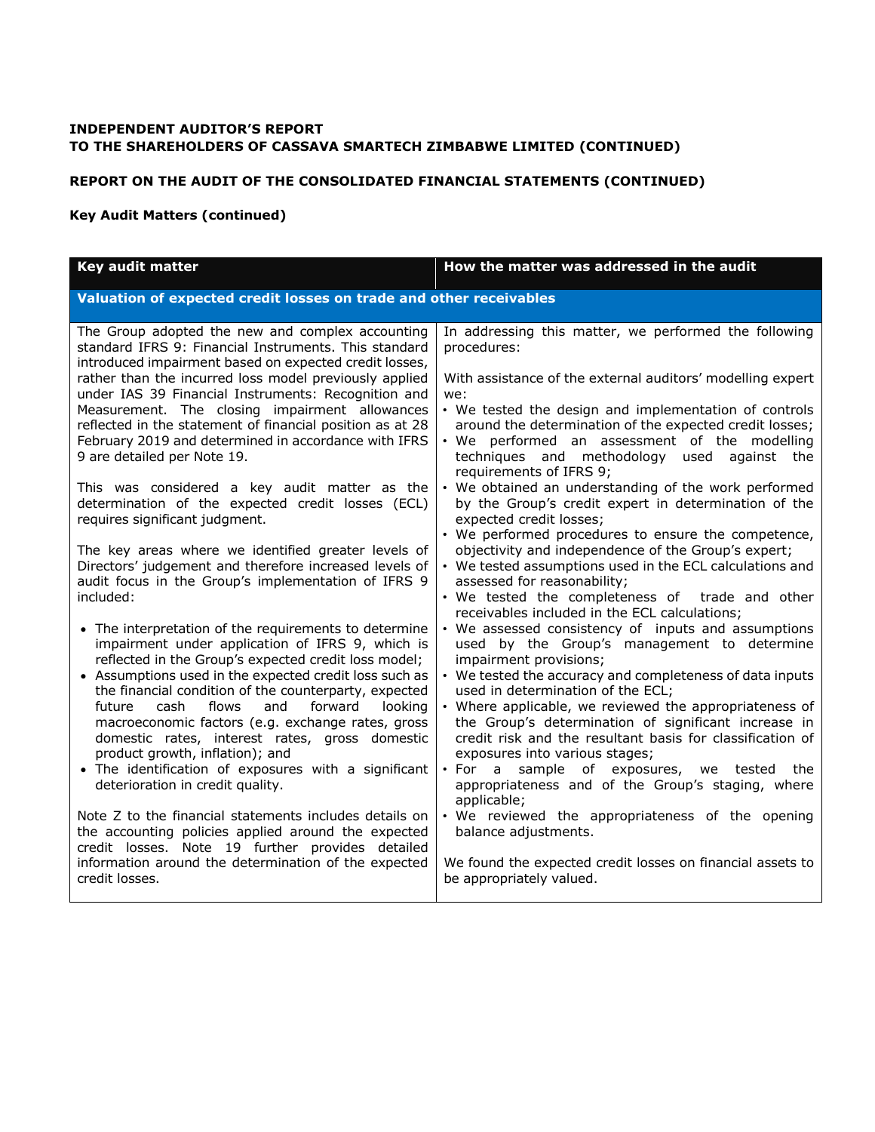## **REPORT ON THE AUDIT OF THE CONSOLIDATED FINANCIAL STATEMENTS (CONTINUED)**

## **Key Audit Matters (continued)**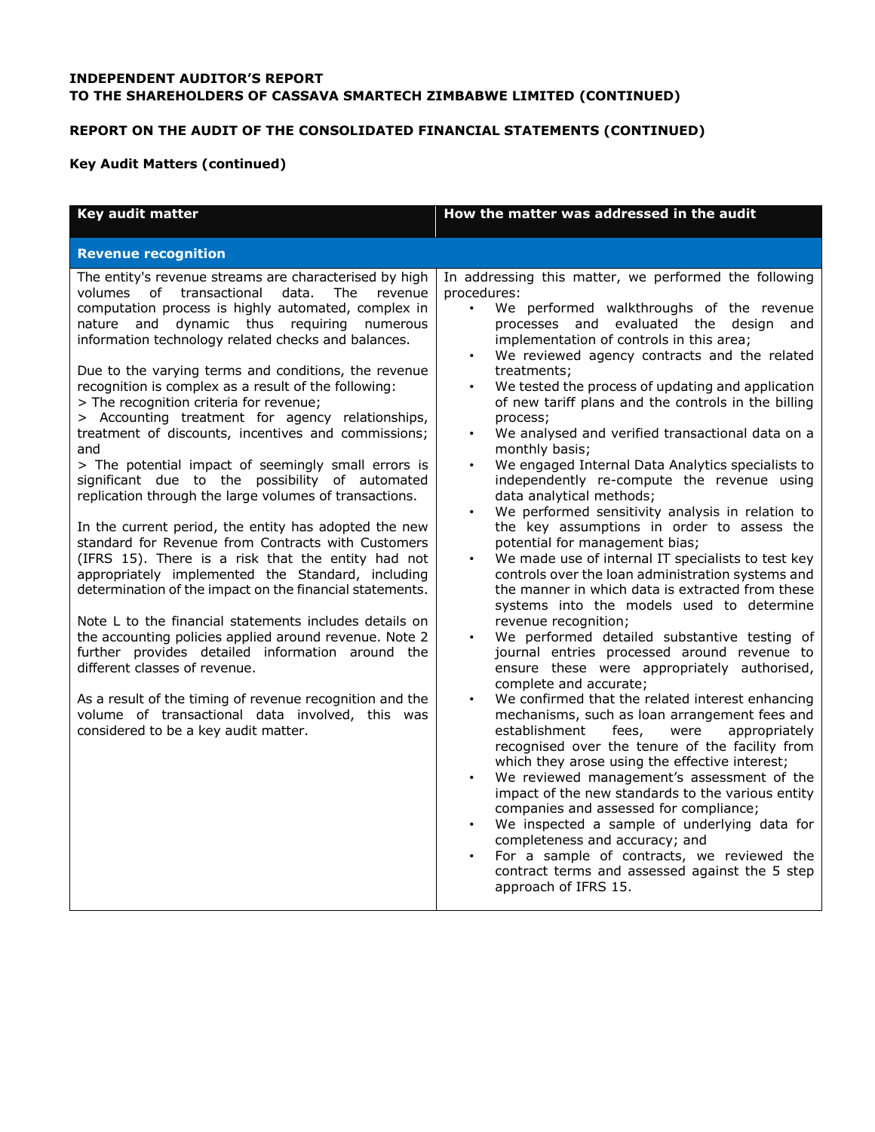# **REPORT ON THE AUDIT OF THE CONSOLIDATED FINANCIAL STATEMENTS (CONTINUED)**

# **Key Audit Matters (continued)**

| Key audit matter                                                                                                                                                                                                                                                                                                                                                                                                                                                                                                                                                                                                                                                                                                                                                                                                                                                                                                                                                                                                                                                                                                                                                                                                                                                                                                                                                                     | How the matter was addressed in the audit                                                                                                                                                                                                                                                                                                                                                                                                                                                                                                                                                                                                                                                                                                                                                                                                                                                                                                                                                                                                                                                                                                                                                                                                                                                                                                                                                                                                                                                                                                                                                                                                                                                                                                                                              |
|--------------------------------------------------------------------------------------------------------------------------------------------------------------------------------------------------------------------------------------------------------------------------------------------------------------------------------------------------------------------------------------------------------------------------------------------------------------------------------------------------------------------------------------------------------------------------------------------------------------------------------------------------------------------------------------------------------------------------------------------------------------------------------------------------------------------------------------------------------------------------------------------------------------------------------------------------------------------------------------------------------------------------------------------------------------------------------------------------------------------------------------------------------------------------------------------------------------------------------------------------------------------------------------------------------------------------------------------------------------------------------------|----------------------------------------------------------------------------------------------------------------------------------------------------------------------------------------------------------------------------------------------------------------------------------------------------------------------------------------------------------------------------------------------------------------------------------------------------------------------------------------------------------------------------------------------------------------------------------------------------------------------------------------------------------------------------------------------------------------------------------------------------------------------------------------------------------------------------------------------------------------------------------------------------------------------------------------------------------------------------------------------------------------------------------------------------------------------------------------------------------------------------------------------------------------------------------------------------------------------------------------------------------------------------------------------------------------------------------------------------------------------------------------------------------------------------------------------------------------------------------------------------------------------------------------------------------------------------------------------------------------------------------------------------------------------------------------------------------------------------------------------------------------------------------------|
| <b>Revenue recognition</b>                                                                                                                                                                                                                                                                                                                                                                                                                                                                                                                                                                                                                                                                                                                                                                                                                                                                                                                                                                                                                                                                                                                                                                                                                                                                                                                                                           |                                                                                                                                                                                                                                                                                                                                                                                                                                                                                                                                                                                                                                                                                                                                                                                                                                                                                                                                                                                                                                                                                                                                                                                                                                                                                                                                                                                                                                                                                                                                                                                                                                                                                                                                                                                        |
| The entity's revenue streams are characterised by high<br>volumes of transactional data.<br><b>The</b><br>revenue<br>computation process is highly automated, complex in<br>nature and dynamic thus requiring numerous<br>information technology related checks and balances.<br>Due to the varying terms and conditions, the revenue<br>recognition is complex as a result of the following:<br>> The recognition criteria for revenue;<br>> Accounting treatment for agency relationships,<br>treatment of discounts, incentives and commissions;<br>and<br>> The potential impact of seemingly small errors is<br>significant due to the possibility of automated<br>replication through the large volumes of transactions.<br>In the current period, the entity has adopted the new<br>standard for Revenue from Contracts with Customers<br>(IFRS 15). There is a risk that the entity had not<br>appropriately implemented the Standard, including<br>determination of the impact on the financial statements.<br>Note L to the financial statements includes details on<br>the accounting policies applied around revenue. Note 2<br>further provides detailed information around the<br>different classes of revenue.<br>As a result of the timing of revenue recognition and the<br>volume of transactional data involved, this was<br>considered to be a key audit matter. | In addressing this matter, we performed the following<br>procedures:<br>We performed walkthroughs of the revenue<br>$\bullet$<br>processes and evaluated the design<br>and<br>implementation of controls in this area;<br>We reviewed agency contracts and the related<br>treatments;<br>We tested the process of updating and application<br>of new tariff plans and the controls in the billing<br>process;<br>We analysed and verified transactional data on a<br>monthly basis;<br>We engaged Internal Data Analytics specialists to<br>independently re-compute the revenue using<br>data analytical methods;<br>We performed sensitivity analysis in relation to<br>the key assumptions in order to assess the<br>potential for management bias;<br>We made use of internal IT specialists to test key<br>controls over the loan administration systems and<br>the manner in which data is extracted from these<br>systems into the models used to determine<br>revenue recognition;<br>We performed detailed substantive testing of<br>journal entries processed around revenue to<br>ensure these were appropriately authorised,<br>complete and accurate;<br>We confirmed that the related interest enhancing<br>mechanisms, such as loan arrangement fees and<br>establishment<br>appropriately<br>fees,<br>were<br>recognised over the tenure of the facility from<br>which they arose using the effective interest;<br>We reviewed management's assessment of the<br>impact of the new standards to the various entity<br>companies and assessed for compliance;<br>We inspected a sample of underlying data for<br>completeness and accuracy; and<br>For a sample of contracts, we reviewed the<br>contract terms and assessed against the 5 step<br>approach of IFRS 15. |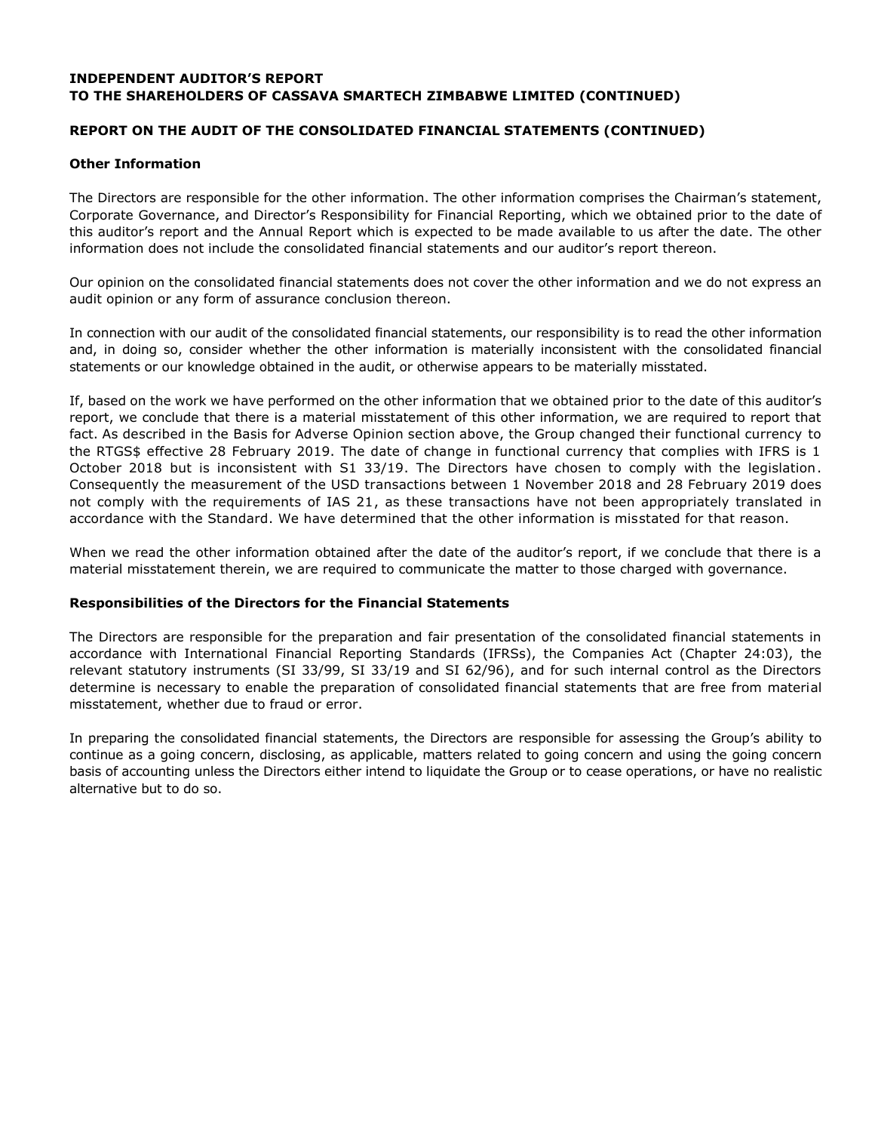## **REPORT ON THE AUDIT OF THE CONSOLIDATED FINANCIAL STATEMENTS (CONTINUED)**

### **Other Information**

The Directors are responsible for the other information. The other information comprises the Chairman's statement, Corporate Governance, and Director's Responsibility for Financial Reporting, which we obtained prior to the date of this auditor's report and the Annual Report which is expected to be made available to us after the date. The other information does not include the consolidated financial statements and our auditor's report thereon.

Our opinion on the consolidated financial statements does not cover the other information and we do not express an audit opinion or any form of assurance conclusion thereon.

In connection with our audit of the consolidated financial statements, our responsibility is to read the other information and, in doing so, consider whether the other information is materially inconsistent with the consolidated financial statements or our knowledge obtained in the audit, or otherwise appears to be materially misstated.

If, based on the work we have performed on the other information that we obtained prior to the date of this auditor's report, we conclude that there is a material misstatement of this other information, we are required to report that fact. As described in the Basis for Adverse Opinion section above, the Group changed their functional currency to the RTGS\$ effective 28 February 2019. The date of change in functional currency that complies with IFRS is 1 October 2018 but is inconsistent with S1 33/19. The Directors have chosen to comply with the legislation. Consequently the measurement of the USD transactions between 1 November 2018 and 28 February 2019 does not comply with the requirements of IAS 21, as these transactions have not been appropriately translated in accordance with the Standard. We have determined that the other information is misstated for that reason.

When we read the other information obtained after the date of the auditor's report, if we conclude that there is a material misstatement therein, we are required to communicate the matter to those charged with governance.

#### **Responsibilities of the Directors for the Financial Statements**

The Directors are responsible for the preparation and fair presentation of the consolidated financial statements in accordance with International Financial Reporting Standards (IFRSs), the Companies Act (Chapter 24:03), the relevant statutory instruments (SI 33/99, SI 33/19 and SI 62/96), and for such internal control as the Directors determine is necessary to enable the preparation of consolidated financial statements that are free from material misstatement, whether due to fraud or error.

In preparing the consolidated financial statements, the Directors are responsible for assessing the Group's ability to continue as a going concern, disclosing, as applicable, matters related to going concern and using the going concern basis of accounting unless the Directors either intend to liquidate the Group or to cease operations, or have no realistic alternative but to do so.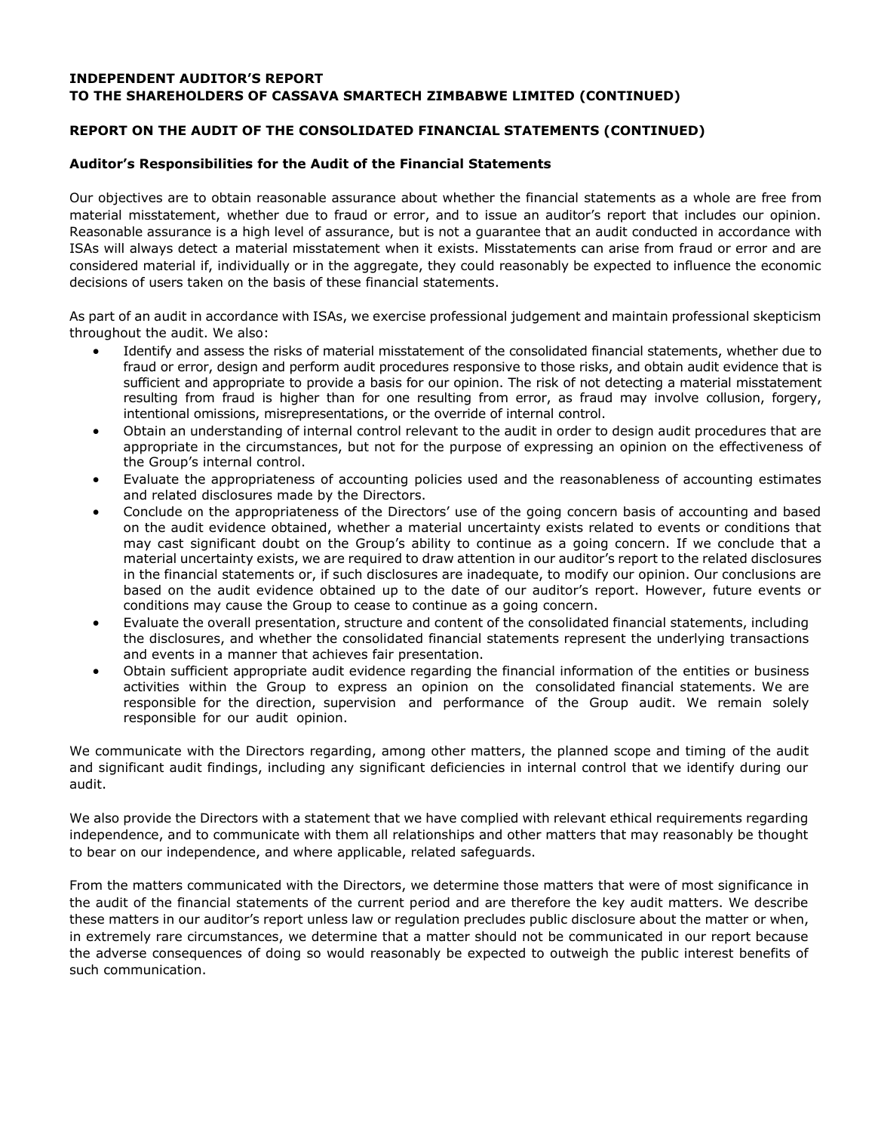## **REPORT ON THE AUDIT OF THE CONSOLIDATED FINANCIAL STATEMENTS (CONTINUED)**

### **Auditor's Responsibilities for the Audit of the Financial Statements**

Our objectives are to obtain reasonable assurance about whether the financial statements as a whole are free from material misstatement, whether due to fraud or error, and to issue an auditor's report that includes our opinion. Reasonable assurance is a high level of assurance, but is not a guarantee that an audit conducted in accordance with ISAs will always detect a material misstatement when it exists. Misstatements can arise from fraud or error and are considered material if, individually or in the aggregate, they could reasonably be expected to influence the economic decisions of users taken on the basis of these financial statements.

As part of an audit in accordance with ISAs, we exercise professional judgement and maintain professional skepticism throughout the audit. We also:

- Identify and assess the risks of material misstatement of the consolidated financial statements, whether due to fraud or error, design and perform audit procedures responsive to those risks, and obtain audit evidence that is sufficient and appropriate to provide a basis for our opinion. The risk of not detecting a material misstatement resulting from fraud is higher than for one resulting from error, as fraud may involve collusion, forgery, intentional omissions, misrepresentations, or the override of internal control.
- Obtain an understanding of internal control relevant to the audit in order to design audit procedures that are appropriate in the circumstances, but not for the purpose of expressing an opinion on the effectiveness of the Group's internal control.
- Evaluate the appropriateness of accounting policies used and the reasonableness of accounting estimates and related disclosures made by the Directors.
- Conclude on the appropriateness of the Directors' use of the going concern basis of accounting and based on the audit evidence obtained, whether a material uncertainty exists related to events or conditions that may cast significant doubt on the Group's ability to continue as a going concern. If we conclude that a material uncertainty exists, we are required to draw attention in our auditor's report to the related disclosures in the financial statements or, if such disclosures are inadequate, to modify our opinion. Our conclusions are based on the audit evidence obtained up to the date of our auditor's report. However, future events or conditions may cause the Group to cease to continue as a going concern.
- Evaluate the overall presentation, structure and content of the consolidated financial statements, including the disclosures, and whether the consolidated financial statements represent the underlying transactions and events in a manner that achieves fair presentation.
- Obtain sufficient appropriate audit evidence regarding the financial information of the entities or business activities within the Group to express an opinion on the consolidated financial statements. We are responsible for the direction, supervision and performance of the Group audit. We remain solely responsible for our audit opinion.

We communicate with the Directors regarding, among other matters, the planned scope and timing of the audit and significant audit findings, including any significant deficiencies in internal control that we identify during our audit.

We also provide the Directors with a statement that we have complied with relevant ethical requirements regarding independence, and to communicate with them all relationships and other matters that may reasonably be thought to bear on our independence, and where applicable, related safeguards.

From the matters communicated with the Directors, we determine those matters that were of most significance in the audit of the financial statements of the current period and are therefore the key audit matters. We describe these matters in our auditor's report unless law or regulation precludes public disclosure about the matter or when, in extremely rare circumstances, we determine that a matter should not be communicated in our report because the adverse consequences of doing so would reasonably be expected to outweigh the public interest benefits of such communication.